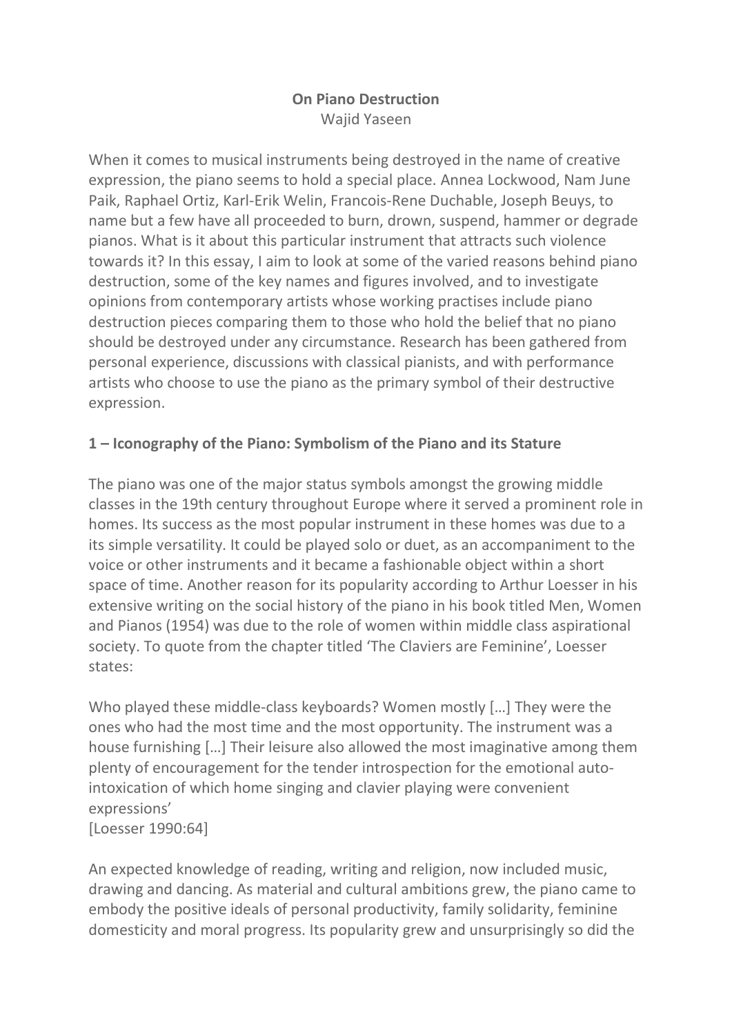## **On Piano Destruction** Wajid Yaseen

When it comes to musical instruments being destroyed in the name of creative expression, the piano seems to hold a special place. Annea Lockwood, Nam June Paik, Raphael Ortiz, Karl-Erik Welin, Francois-Rene Duchable, Joseph Beuys, to name but a few have all proceeded to burn, drown, suspend, hammer or degrade pianos. What is it about this particular instrument that attracts such violence towards it? In this essay, I aim to look at some of the varied reasons behind piano destruction, some of the key names and figures involved, and to investigate opinions from contemporary artists whose working practises include piano destruction pieces comparing them to those who hold the belief that no piano should be destroyed under any circumstance. Research has been gathered from personal experience, discussions with classical pianists, and with performance artists who choose to use the piano as the primary symbol of their destructive expression.

# **1 – Iconography of the Piano: Symbolism of the Piano and its Stature**

The piano was one of the major status symbols amongst the growing middle classes in the 19th century throughout Europe where it served a prominent role in homes. Its success as the most popular instrument in these homes was due to a its simple versatility. It could be played solo or duet, as an accompaniment to the voice or other instruments and it became a fashionable object within a short space of time. Another reason for its popularity according to Arthur Loesser in his extensive writing on the social history of the piano in his book titled Men, Women and Pianos (1954) was due to the role of women within middle class aspirational society. To quote from the chapter titled 'The Claviers are Feminine', Loesser states:

Who played these middle-class keyboards? Women mostly […] They were the ones who had the most time and the most opportunity. The instrument was a house furnishing […] Their leisure also allowed the most imaginative among them plenty of encouragement for the tender introspection for the emotional autointoxication of which home singing and clavier playing were convenient expressions' [Loesser 1990:64]

An expected knowledge of reading, writing and religion, now included music, drawing and dancing. As material and cultural ambitions grew, the piano came to embody the positive ideals of personal productivity, family solidarity, feminine domesticity and moral progress. Its popularity grew and unsurprisingly so did the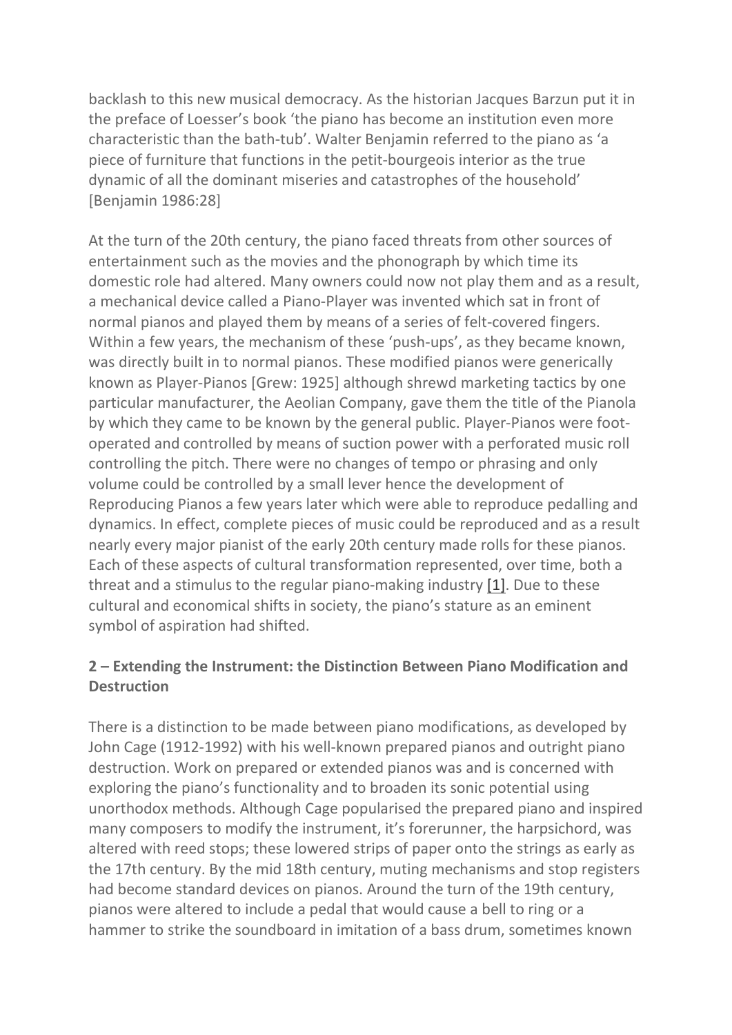backlash to this new musical democracy. As the historian Jacques Barzun put it in the preface of Loesser's book 'the piano has become an institution even more characteristic than the bath-tub'. Walter Benjamin referred to the piano as 'a piece of furniture that functions in the petit-bourgeois interior as the true dynamic of all the dominant miseries and catastrophes of the household' [Benjamin 1986:28]

At the turn of the 20th century, the piano faced threats from other sources of entertainment such as the movies and the phonograph by which time its domestic role had altered. Many owners could now not play them and as a result, a mechanical device called a Piano-Player was invented which sat in front of normal pianos and played them by means of a series of felt-covered fingers. Within a few years, the mechanism of these 'push-ups', as they became known, was directly built in to normal pianos. These modified pianos were generically known as Player-Pianos [Grew: 1925] although shrewd marketing tactics by one particular manufacturer, the Aeolian Company, gave them the title of the Pianola by which they came to be known by the general public. Player-Pianos were footoperated and controlled by means of suction power with a perforated music roll controlling the pitch. There were no changes of tempo or phrasing and only volume could be controlled by a small lever hence the development of Reproducing Pianos a few years later which were able to reproduce pedalling and dynamics. In effect, complete pieces of music could be reproduced and as a result nearly every major pianist of the early 20th century made rolls for these pianos. Each of these aspects of cultural transformation represented, over time, both a threat and a stimulus to the regular piano-making industry [\[1\].](http://www.scrapclub.co.uk/texts/piano-destruction-text#1) Due to these cultural and economical shifts in society, the piano's stature as an eminent symbol of aspiration had shifted.

## **2 – Extending the Instrument: the Distinction Between Piano Modification and Destruction**

There is a distinction to be made between piano modifications, as developed by John Cage (1912-1992) with his well-known prepared pianos and outright piano destruction. Work on prepared or extended pianos was and is concerned with exploring the piano's functionality and to broaden its sonic potential using unorthodox methods. Although Cage popularised the prepared piano and inspired many composers to modify the instrument, it's forerunner, the harpsichord, was altered with reed stops; these lowered strips of paper onto the strings as early as the 17th century. By the mid 18th century, muting mechanisms and stop registers had become standard devices on pianos. Around the turn of the 19th century, pianos were altered to include a pedal that would cause a bell to ring or a hammer to strike the soundboard in imitation of a bass drum, sometimes known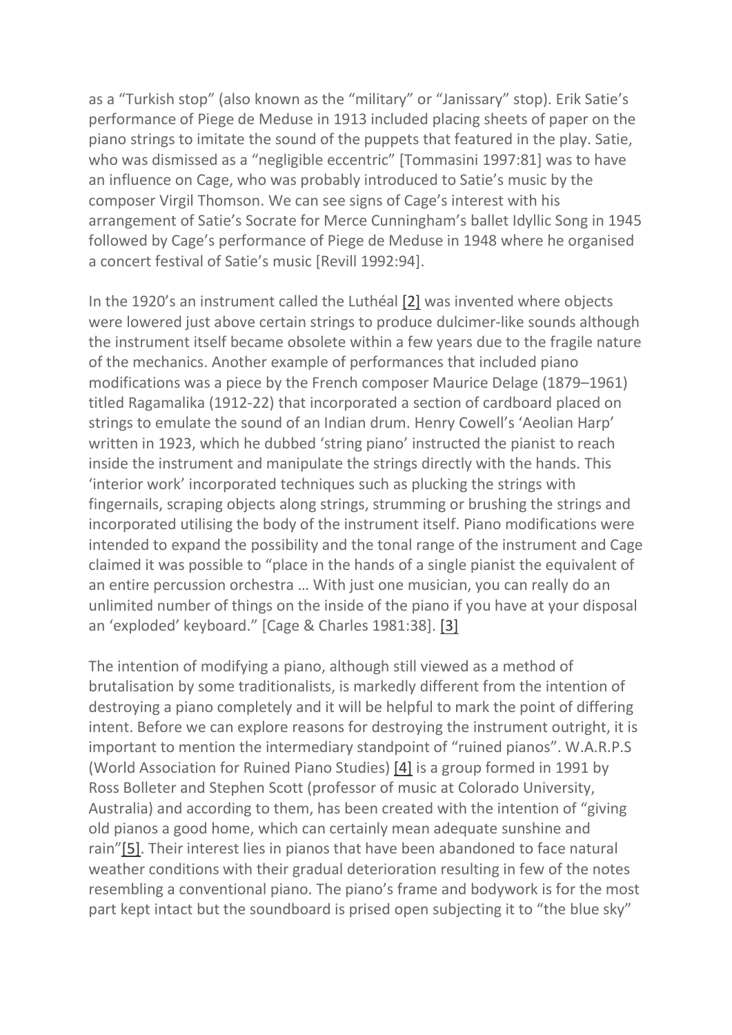as a "Turkish stop" (also known as the "military" or "Janissary" stop). Erik Satie's performance of Piege de Meduse in 1913 included placing sheets of paper on the piano strings to imitate the sound of the puppets that featured in the play. Satie, who was dismissed as a "negligible eccentric" [Tommasini 1997:81] was to have an influence on Cage, who was probably introduced to Satie's music by the composer Virgil Thomson. We can see signs of Cage's interest with his arrangement of Satie's Socrate for Merce Cunningham's ballet Idyllic Song in 1945 followed by Cage's performance of Piege de Meduse in 1948 where he organised a concert festival of Satie's music [Revill 1992:94].

In the 1920's an instrument called the Luthéal [\[2\]](http://www.scrapclub.co.uk/texts/piano-destruction-text#2) was invented where objects were lowered just above certain strings to produce dulcimer-like sounds although the instrument itself became obsolete within a few years due to the fragile nature of the mechanics. Another example of performances that included piano modifications was a piece by the French composer Maurice Delage (1879–1961) titled Ragamalika (1912-22) that incorporated a section of cardboard placed on strings to emulate the sound of an Indian drum. Henry Cowell's 'Aeolian Harp' written in 1923, which he dubbed 'string piano' instructed the pianist to reach inside the instrument and manipulate the strings directly with the hands. This 'interior work' incorporated techniques such as plucking the strings with fingernails, scraping objects along strings, strumming or brushing the strings and incorporated utilising the body of the instrument itself. Piano modifications were intended to expand the possibility and the tonal range of the instrument and Cage claimed it was possible to "place in the hands of a single pianist the equivalent of an entire percussion orchestra … With just one musician, you can really do an unlimited number of things on the inside of the piano if you have at your disposal an 'exploded' keyboard." [Cage & Charles 1981:38]. [\[3\]](http://www.scrapclub.co.uk/texts/piano-destruction-text#3)

The intention of modifying a piano, although still viewed as a method of brutalisation by some traditionalists, is markedly different from the intention of destroying a piano completely and it will be helpful to mark the point of differing intent. Before we can explore reasons for destroying the instrument outright, it is important to mention the intermediary standpoint of "ruined pianos". W.A.R.P.S (World Association for Ruined Piano Studies) [\[4\]](http://www.scrapclub.co.uk/texts/piano-destruction-text#4) is a group formed in 1991 by Ross Bolleter and Stephen Scott (professor of music at Colorado University, Australia) and according to them, has been created with the intention of "giving old pianos a good home, which can certainly mean adequate sunshine and rain"[\[5\].](http://www.scrapclub.co.uk/texts/piano-destruction-text#5) Their interest lies in pianos that have been abandoned to face natural weather conditions with their gradual deterioration resulting in few of the notes resembling a conventional piano. The piano's frame and bodywork is for the most part kept intact but the soundboard is prised open subjecting it to "the blue sky"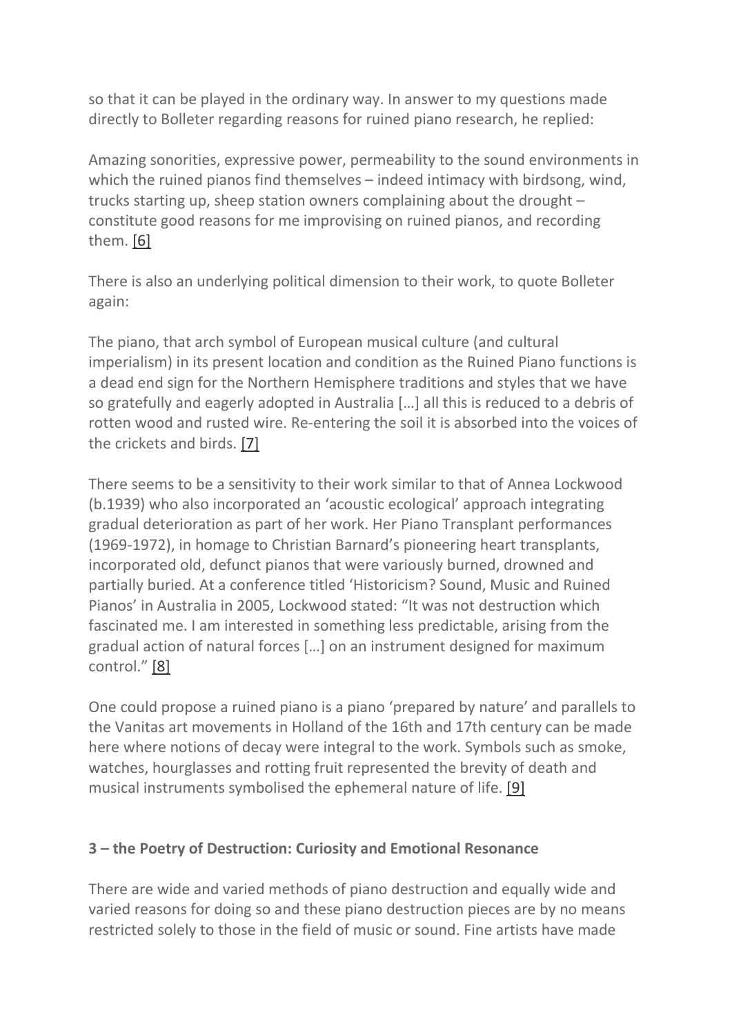so that it can be played in the ordinary way. In answer to my questions made directly to Bolleter regarding reasons for ruined piano research, he replied:

Amazing sonorities, expressive power, permeability to the sound environments in which the ruined pianos find themselves – indeed intimacy with birdsong, wind, trucks starting up, sheep station owners complaining about the drought – constitute good reasons for me improvising on ruined pianos, and recording them. [\[6\]](http://www.scrapclub.co.uk/texts/piano-destruction-text#6)

There is also an underlying political dimension to their work, to quote Bolleter again:

The piano, that arch symbol of European musical culture (and cultural imperialism) in its present location and condition as the Ruined Piano functions is a dead end sign for the Northern Hemisphere traditions and styles that we have so gratefully and eagerly adopted in Australia […] all this is reduced to a debris of rotten wood and rusted wire. Re-entering the soil it is absorbed into the voices of the crickets and birds. [\[7\]](http://www.scrapclub.co.uk/texts/piano-destruction-text#7)

There seems to be a sensitivity to their work similar to that of Annea Lockwood (b.1939) who also incorporated an 'acoustic ecological' approach integrating gradual deterioration as part of her work. Her Piano Transplant performances (1969-1972), in homage to Christian Barnard's pioneering heart transplants, incorporated old, defunct pianos that were variously burned, drowned and partially buried. At a conference titled 'Historicism? Sound, Music and Ruined Pianos' in Australia in 2005, Lockwood stated: "It was not destruction which fascinated me. I am interested in something less predictable, arising from the gradual action of natural forces […] on an instrument designed for maximum control." [\[8\]](http://www.scrapclub.co.uk/texts/piano-destruction-text#8)

One could propose a ruined piano is a piano 'prepared by nature' and parallels to the Vanitas art movements in Holland of the 16th and 17th century can be made here where notions of decay were integral to the work. Symbols such as smoke, watches, hourglasses and rotting fruit represented the brevity of death and musical instruments symbolised the ephemeral nature of life. [\[9\]](http://www.scrapclub.co.uk/texts/piano-destruction-text#9)

### **3 – the Poetry of Destruction: Curiosity and Emotional Resonance**

There are wide and varied methods of piano destruction and equally wide and varied reasons for doing so and these piano destruction pieces are by no means restricted solely to those in the field of music or sound. Fine artists have made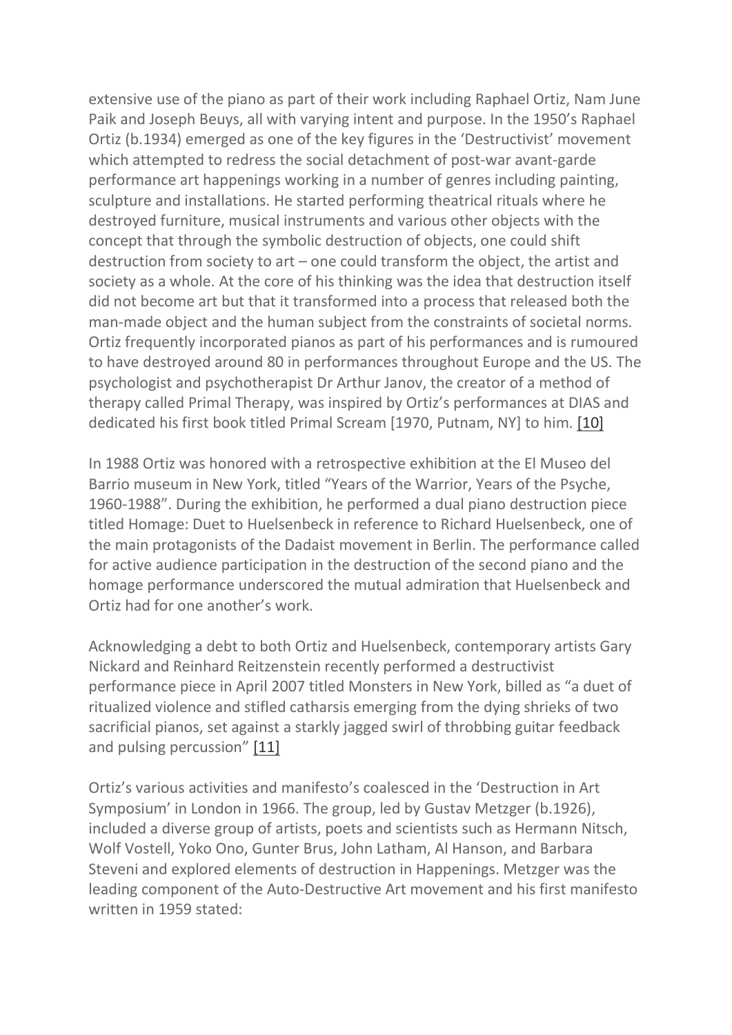extensive use of the piano as part of their work including Raphael Ortiz, Nam June Paik and Joseph Beuys, all with varying intent and purpose. In the 1950's Raphael Ortiz (b.1934) emerged as one of the key figures in the 'Destructivist' movement which attempted to redress the social detachment of post-war avant-garde performance art happenings working in a number of genres including painting, sculpture and installations. He started performing theatrical rituals where he destroyed furniture, musical instruments and various other objects with the concept that through the symbolic destruction of objects, one could shift destruction from society to art – one could transform the object, the artist and society as a whole. At the core of his thinking was the idea that destruction itself did not become art but that it transformed into a process that released both the man-made object and the human subject from the constraints of societal norms. Ortiz frequently incorporated pianos as part of his performances and is rumoured to have destroyed around 80 in performances throughout Europe and the US. The psychologist and psychotherapist Dr Arthur Janov, the creator of a method of therapy called Primal Therapy, was inspired by Ortiz's performances at DIAS and dedicated his first book titled Primal Scream [1970, Putnam, NY] to him. [\[10\]](http://www.scrapclub.co.uk/texts/piano-destruction-text#10)

In 1988 Ortiz was honored with a retrospective exhibition at the El Museo del Barrio museum in New York, titled "Years of the Warrior, Years of the Psyche, 1960-1988". During the exhibition, he performed a dual piano destruction piece titled Homage: Duet to Huelsenbeck in reference to Richard Huelsenbeck, one of the main protagonists of the Dadaist movement in Berlin. The performance called for active audience participation in the destruction of the second piano and the homage performance underscored the mutual admiration that Huelsenbeck and Ortiz had for one another's work.

Acknowledging a debt to both Ortiz and Huelsenbeck, contemporary artists Gary Nickard and Reinhard Reitzenstein recently performed a destructivist performance piece in April 2007 titled Monsters in New York, billed as "a duet of ritualized violence and stifled catharsis emerging from the dying shrieks of two sacrificial pianos, set against a starkly jagged swirl of throbbing guitar feedback and pulsing percussion" [\[11\]](http://www.scrapclub.co.uk/texts/piano-destruction-text#11)

Ortiz's various activities and manifesto's coalesced in the 'Destruction in Art Symposium' in London in 1966. The group, led by Gustav Metzger (b.1926), included a diverse group of artists, poets and scientists such as Hermann Nitsch, Wolf Vostell, Yoko Ono, Gunter Brus, John Latham, Al Hanson, and Barbara Steveni and explored elements of destruction in Happenings. Metzger was the leading component of the Auto-Destructive Art movement and his first manifesto written in 1959 stated: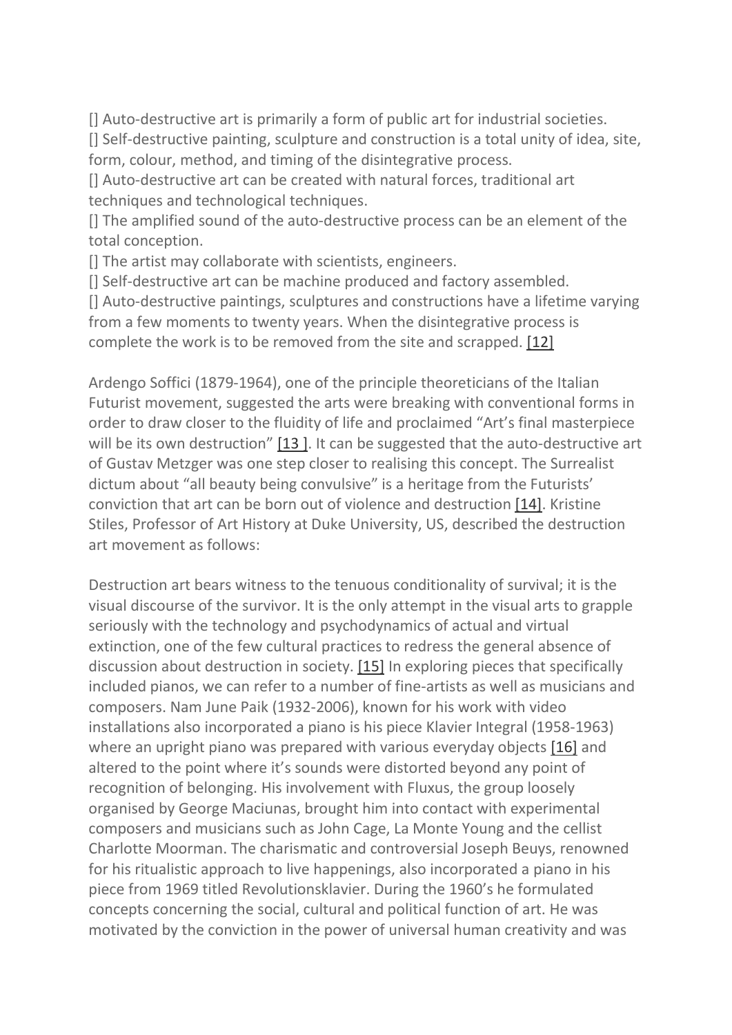[] Auto-destructive art is primarily a form of public art for industrial societies. [] Self-destructive painting, sculpture and construction is a total unity of idea, site, form, colour, method, and timing of the disintegrative process.

[] Auto-destructive art can be created with natural forces, traditional art techniques and technological techniques.

[] The amplified sound of the auto-destructive process can be an element of the total conception.

[] The artist may collaborate with scientists, engineers.

[] Self-destructive art can be machine produced and factory assembled.

[] Auto-destructive paintings, sculptures and constructions have a lifetime varying from a few moments to twenty years. When the disintegrative process is complete the work is to be removed from the site and scrapped. [\[12\]](http://www.scrapclub.co.uk/texts/piano-destruction-text#12)

Ardengo Soffici (1879-1964), one of the principle theoreticians of the Italian Futurist movement, suggested the arts were breaking with conventional forms in order to draw closer to the fluidity of life and proclaimed "Art's final masterpiece will be its own destruction" [\[13](http://www.scrapclub.co.uk/texts/piano-destruction-text#13)]. It can be suggested that the auto-destructive art of Gustav Metzger was one step closer to realising this concept. The Surrealist dictum about "all beauty being convulsive" is a heritage from the Futurists' conviction that art can be born out of violence and destruction [\[14\].](http://www.scrapclub.co.uk/texts/piano-destruction-text#14) Kristine Stiles, Professor of Art History at Duke University, US, described the destruction art movement as follows:

Destruction art bears witness to the tenuous conditionality of survival; it is the visual discourse of the survivor. It is the only attempt in the visual arts to grapple seriously with the technology and psychodynamics of actual and virtual extinction, one of the few cultural practices to redress the general absence of discussion about destruction in society. [\[15\]](http://www.scrapclub.co.uk/texts/piano-destruction-text#15) In exploring pieces that specifically included pianos, we can refer to a number of fine-artists as well as musicians and composers. Nam June Paik (1932-2006), known for his work with video installations also incorporated a piano is his piece Klavier Integral (1958-1963) where an upright piano was prepared with various everyday objects [\[16\]](http://www.scrapclub.co.uk/texts/piano-destruction-text#16) and altered to the point where it's sounds were distorted beyond any point of recognition of belonging. His involvement with Fluxus, the group loosely organised by George Maciunas, brought him into contact with experimental composers and musicians such as John Cage, La Monte Young and the cellist Charlotte Moorman. The charismatic and controversial Joseph Beuys, renowned for his ritualistic approach to live happenings, also incorporated a piano in his piece from 1969 titled Revolutionsklavier. During the 1960's he formulated concepts concerning the social, cultural and political function of art. He was motivated by the conviction in the power of universal human creativity and was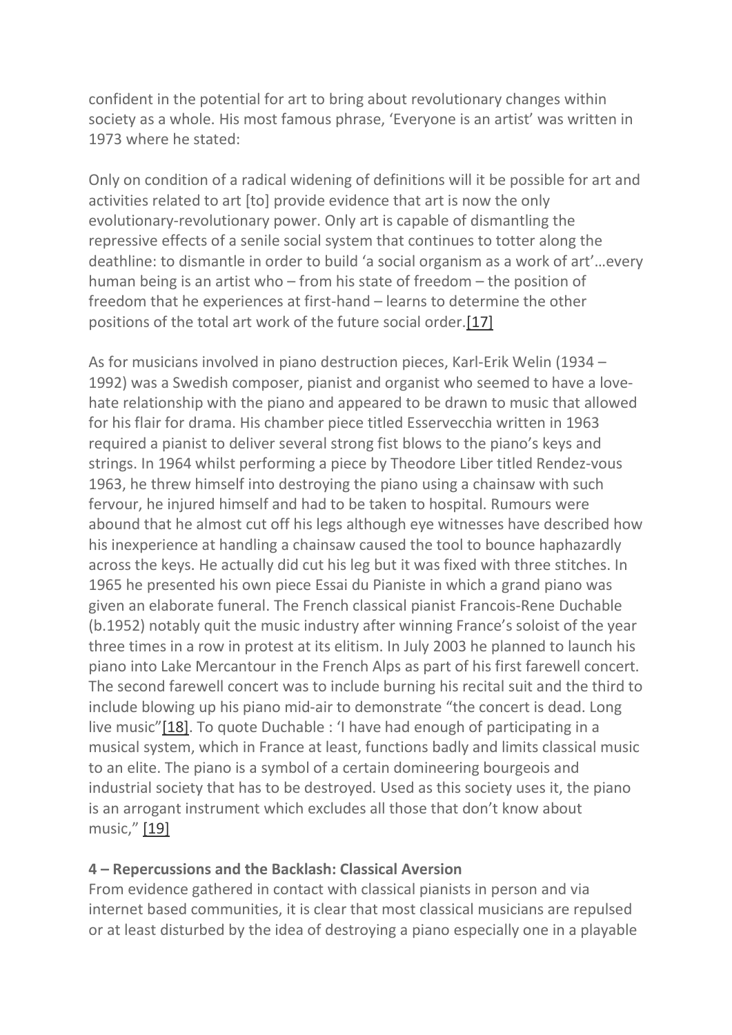confident in the potential for art to bring about revolutionary changes within society as a whole. His most famous phrase, 'Everyone is an artist' was written in 1973 where he stated:

Only on condition of a radical widening of definitions will it be possible for art and activities related to art [to] provide evidence that art is now the only evolutionary-revolutionary power. Only art is capable of dismantling the repressive effects of a senile social system that continues to totter along the deathline: to dismantle in order to build 'a social organism as a work of art'…every human being is an artist who – from his state of freedom – the position of freedom that he experiences at first-hand – learns to determine the other positions of the total art work of the future social order[.\[17\]](http://www.scrapclub.co.uk/texts/piano-destruction-text#17)

As for musicians involved in piano destruction pieces, Karl-Erik Welin (1934 – 1992) was a Swedish composer, pianist and organist who seemed to have a lovehate relationship with the piano and appeared to be drawn to music that allowed for his flair for drama. His chamber piece titled Esservecchia written in 1963 required a pianist to deliver several strong fist blows to the piano's keys and strings. In 1964 whilst performing a piece by Theodore Liber titled Rendez-vous 1963, he threw himself into destroying the piano using a chainsaw with such fervour, he injured himself and had to be taken to hospital. Rumours were abound that he almost cut off his legs although eye witnesses have described how his inexperience at handling a chainsaw caused the tool to bounce haphazardly across the keys. He actually did cut his leg but it was fixed with three stitches. In 1965 he presented his own piece Essai du Pianiste in which a grand piano was given an elaborate funeral. The French classical pianist Francois-Rene Duchable (b.1952) notably quit the music industry after winning France's soloist of the year three times in a row in protest at its elitism. In July 2003 he planned to launch his piano into Lake Mercantour in the French Alps as part of his first farewell concert. The second farewell concert was to include burning his recital suit and the third to include blowing up his piano mid-air to demonstrate "the concert is dead. Long live music"[\[18\].](http://www.scrapclub.co.uk/texts/piano-destruction-text#18) To quote Duchable : 'I have had enough of participating in a musical system, which in France at least, functions badly and limits classical music to an elite. The piano is a symbol of a certain domineering bourgeois and industrial society that has to be destroyed. Used as this society uses it, the piano is an arrogant instrument which excludes all those that don't know about music," [\[19\]](http://www.scrapclub.co.uk/texts/piano-destruction-text#19)

### **4 – Repercussions and the Backlash: Classical Aversion**

From evidence gathered in contact with classical pianists in person and via internet based communities, it is clear that most classical musicians are repulsed or at least disturbed by the idea of destroying a piano especially one in a playable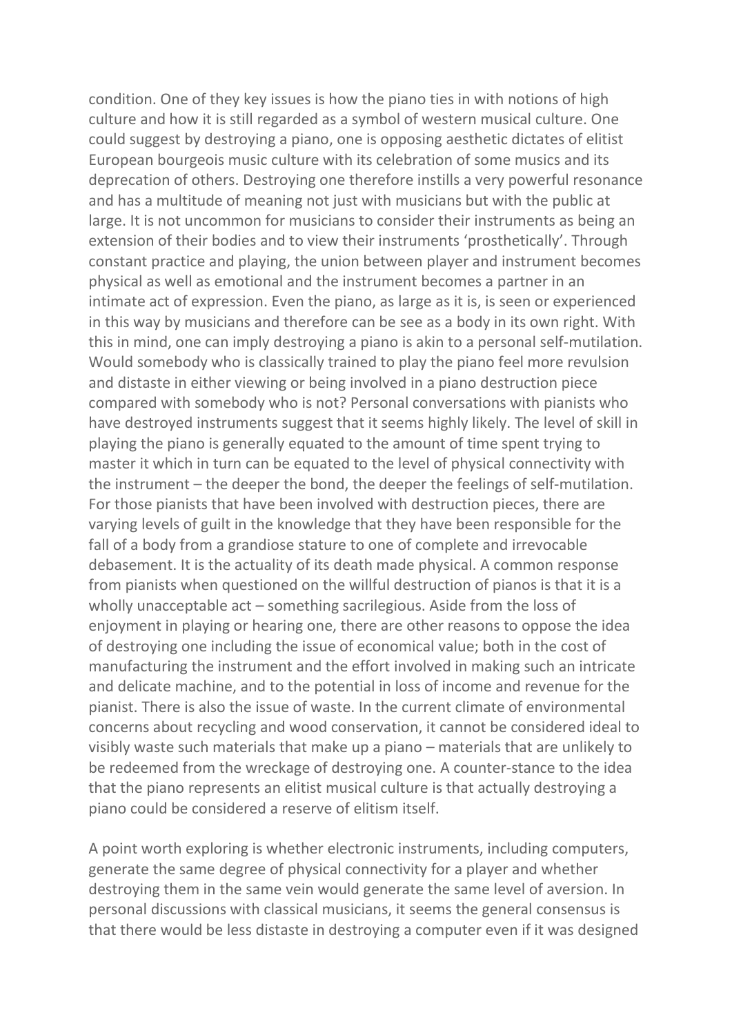condition. One of they key issues is how the piano ties in with notions of high culture and how it is still regarded as a symbol of western musical culture. One could suggest by destroying a piano, one is opposing aesthetic dictates of elitist European bourgeois music culture with its celebration of some musics and its deprecation of others. Destroying one therefore instills a very powerful resonance and has a multitude of meaning not just with musicians but with the public at large. It is not uncommon for musicians to consider their instruments as being an extension of their bodies and to view their instruments 'prosthetically'. Through constant practice and playing, the union between player and instrument becomes physical as well as emotional and the instrument becomes a partner in an intimate act of expression. Even the piano, as large as it is, is seen or experienced in this way by musicians and therefore can be see as a body in its own right. With this in mind, one can imply destroying a piano is akin to a personal self-mutilation. Would somebody who is classically trained to play the piano feel more revulsion and distaste in either viewing or being involved in a piano destruction piece compared with somebody who is not? Personal conversations with pianists who have destroyed instruments suggest that it seems highly likely. The level of skill in playing the piano is generally equated to the amount of time spent trying to master it which in turn can be equated to the level of physical connectivity with the instrument – the deeper the bond, the deeper the feelings of self-mutilation. For those pianists that have been involved with destruction pieces, there are varying levels of guilt in the knowledge that they have been responsible for the fall of a body from a grandiose stature to one of complete and irrevocable debasement. It is the actuality of its death made physical. A common response from pianists when questioned on the willful destruction of pianos is that it is a wholly unacceptable act – something sacrilegious. Aside from the loss of enjoyment in playing or hearing one, there are other reasons to oppose the idea of destroying one including the issue of economical value; both in the cost of manufacturing the instrument and the effort involved in making such an intricate and delicate machine, and to the potential in loss of income and revenue for the pianist. There is also the issue of waste. In the current climate of environmental concerns about recycling and wood conservation, it cannot be considered ideal to visibly waste such materials that make up a piano – materials that are unlikely to be redeemed from the wreckage of destroying one. A counter-stance to the idea that the piano represents an elitist musical culture is that actually destroying a piano could be considered a reserve of elitism itself.

A point worth exploring is whether electronic instruments, including computers, generate the same degree of physical connectivity for a player and whether destroying them in the same vein would generate the same level of aversion. In personal discussions with classical musicians, it seems the general consensus is that there would be less distaste in destroying a computer even if it was designed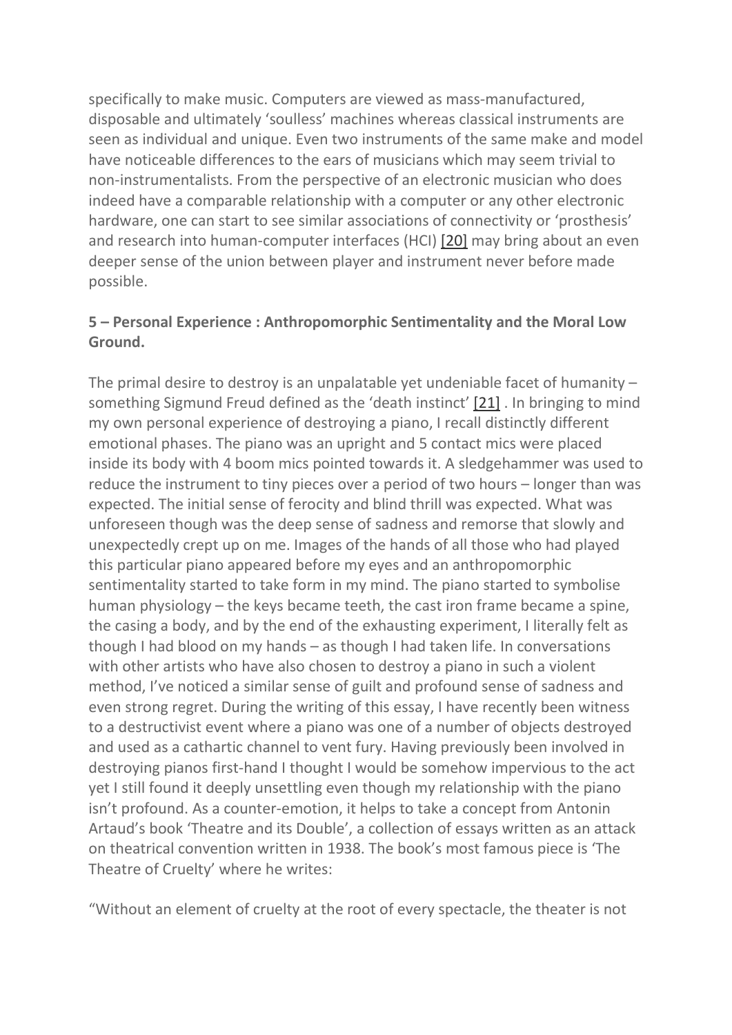specifically to make music. Computers are viewed as mass-manufactured, disposable and ultimately 'soulless' machines whereas classical instruments are seen as individual and unique. Even two instruments of the same make and model have noticeable differences to the ears of musicians which may seem trivial to non-instrumentalists. From the perspective of an electronic musician who does indeed have a comparable relationship with a computer or any other electronic hardware, one can start to see similar associations of connectivity or 'prosthesis' and research into human-computer interfaces (HCI) [20] may bring about an even deeper sense of the union between player and instrument never before made possible.

# **5 – Personal Experience : Anthropomorphic Sentimentality and the Moral Low Ground.**

The primal desire to destroy is an unpalatable yet undeniable facet of humanity – something Sigmund Freud defined as the 'death instinct' [21] . In bringing to mind my own personal experience of destroying a piano, I recall distinctly different emotional phases. The piano was an upright and 5 contact mics were placed inside its body with 4 boom mics pointed towards it. A sledgehammer was used to reduce the instrument to tiny pieces over a period of two hours – longer than was expected. The initial sense of ferocity and blind thrill was expected. What was unforeseen though was the deep sense of sadness and remorse that slowly and unexpectedly crept up on me. Images of the hands of all those who had played this particular piano appeared before my eyes and an anthropomorphic sentimentality started to take form in my mind. The piano started to symbolise human physiology – the keys became teeth, the cast iron frame became a spine, the casing a body, and by the end of the exhausting experiment, I literally felt as though I had blood on my hands – as though I had taken life. In conversations with other artists who have also chosen to destroy a piano in such a violent method, I've noticed a similar sense of guilt and profound sense of sadness and even strong regret. During the writing of this essay, I have recently been witness to a destructivist event where a piano was one of a number of objects destroyed and used as a cathartic channel to vent fury. Having previously been involved in destroying pianos first-hand I thought I would be somehow impervious to the act yet I still found it deeply unsettling even though my relationship with the piano isn't profound. As a counter-emotion, it helps to take a concept from Antonin Artaud's book 'Theatre and its Double', a collection of essays written as an attack on theatrical convention written in 1938. The book's most famous piece is 'The Theatre of Cruelty' where he writes:

"Without an element of cruelty at the root of every spectacle, the theater is not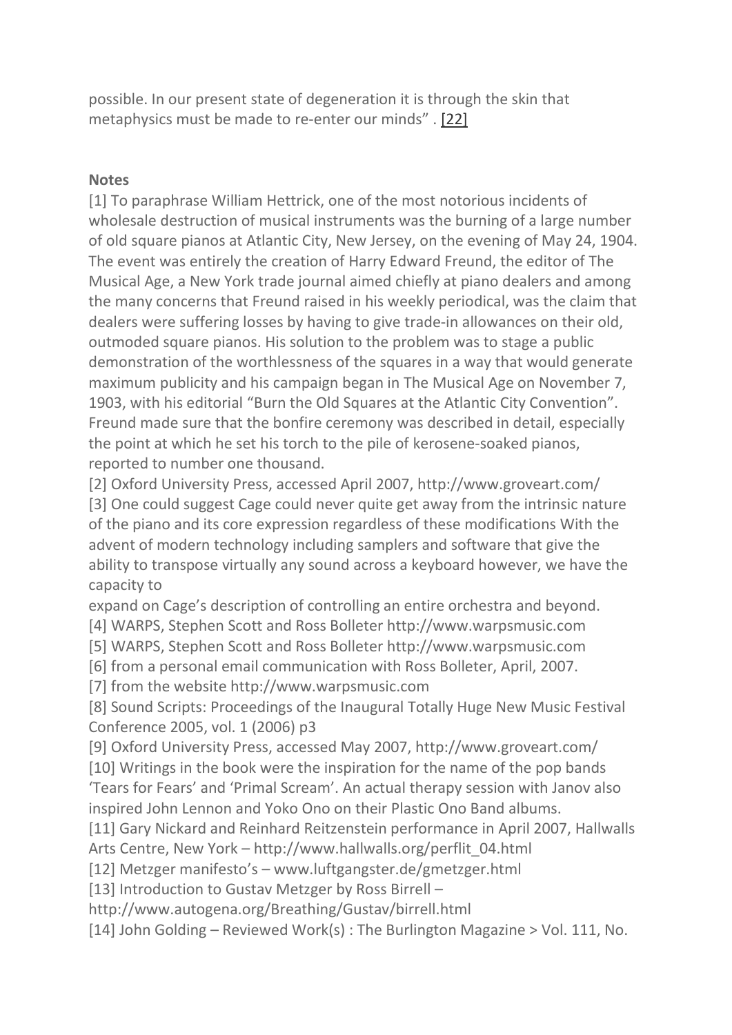possible. In our present state of degeneration it is through the skin that metaphysics must be made to re-enter our minds" . [22]

#### **Notes**

[1] To paraphrase William Hettrick, one of the most notorious incidents of wholesale destruction of musical instruments was the burning of a large number of old square pianos at Atlantic City, New Jersey, on the evening of May 24, 1904. The event was entirely the creation of Harry Edward Freund, the editor of The Musical Age, a New York trade journal aimed chiefly at piano dealers and among the many concerns that Freund raised in his weekly periodical, was the claim that dealers were suffering losses by having to give trade-in allowances on their old, outmoded square pianos. His solution to the problem was to stage a public demonstration of the worthlessness of the squares in a way that would generate maximum publicity and his campaign began in The Musical Age on November 7, 1903, with his editorial "Burn the Old Squares at the Atlantic City Convention". Freund made sure that the bonfire ceremony was described in detail, especially the point at which he set his torch to the pile of kerosene-soaked pianos, reported to number one thousand.

[2] Oxford University Press, accessed April 2007, http://www.groveart.com/ [3] One could suggest Cage could never quite get away from the intrinsic nature of the piano and its core expression regardless of these modifications With the advent of modern technology including samplers and software that give the ability to transpose virtually any sound across a keyboard however, we have the capacity to

expand on Cage's description of controlling an entire orchestra and beyond.

[4] WARPS, Stephen Scott and Ross Bolleter http://www.warpsmusic.com

[5] WARPS, Stephen Scott and Ross Bolleter http://www.warpsmusic.com

[6] from a personal email communication with Ross Bolleter, April, 2007.

[7] from the website http://www.warpsmusic.com

[8] Sound Scripts: Proceedings of the Inaugural Totally Huge New Music Festival Conference 2005, vol. 1 (2006) p3

[9] Oxford University Press, accessed May 2007, http://www.groveart.com/

[10] Writings in the book were the inspiration for the name of the pop bands 'Tears for Fears' and 'Primal Scream'. An actual therapy session with Janov also inspired John Lennon and Yoko Ono on their Plastic Ono Band albums.

[11] Gary Nickard and Reinhard Reitzenstein performance in April 2007, Hallwalls Arts Centre, New York – http://www.hallwalls.org/perflit\_04.html

[12] Metzger manifesto's – www.luftgangster.de/gmetzger.html

[13] Introduction to Gustav Metzger by Ross Birrell –

http://www.autogena.org/Breathing/Gustav/birrell.html

[14] John Golding – Reviewed Work(s) : The Burlington Magazine > Vol. 111, No.